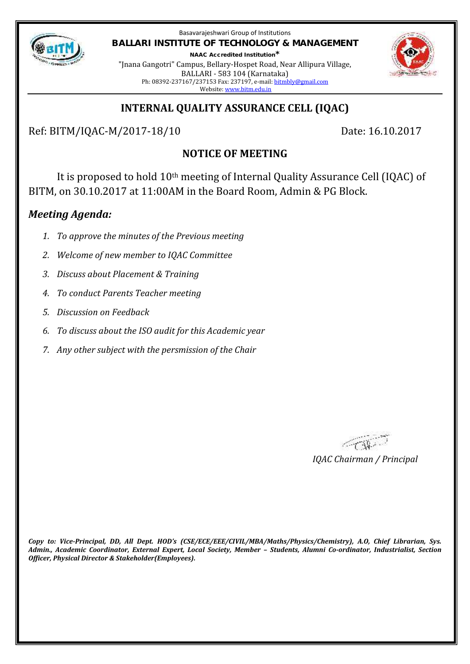

Basavarajeshwari Group of Institutions **BALLARI INSTITUTE OF TECHNOLOGY & MANAGEMENT NAAC Accredited Institution\***

"Jnana Gangotri" Campus, Bellary-Hospet Road, Near Allipura Village, BALLARI - 583 104 (Karnataka) Ph: 08392-237167/237153 Fax: 237197, e-mail: bitmbly@gmail.com Website: www.bitm.edu.in



## **INTERNAL QUALITY ASSURANCE CELL (IQAC)**

Ref: BITM/IQAC-M/2017-18/10 Date: 16.10.2017

# **NOTICE OF MEETING**

It is proposed to hold 10th meeting of Internal Quality Assurance Cell (IQAC) of BITM, on 30.10.2017 at 11:00AM in the Board Room, Admin & PG Block.

## *Meeting Agenda:*

- *1. To approve the minutes of the Previous meeting*
- *2. Welcome of new member to IQAC Committee*
- *3. Discuss about Placement & Training*
- *4. To conduct Parents Teacher meeting*
- *5. Discussion on Feedback*
- *6. To discuss about the ISO audit for this Academic year*
- *7. Any other subject with the persmission of the Chair*

*IQAC Chairman / Principal*

*Copy to: Vice-Principal, DD, All Dept. HOD's (CSE/ECE/EEE/CIVIL/MBA/Maths/Physics/Chemistry), A.O, Chief Librarian, Sys. Admin., Academic Coordinator, External Expert, Local Society, Member – Students, Alumni Co-ordinator, Industrialist, Section Officer, Physical Director & Stakeholder(Employees).*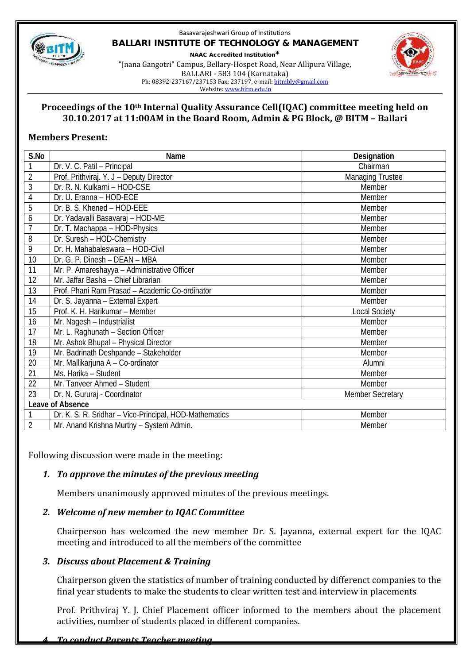

#### Basavarajeshwari Group of Institutions **BALLARI INSTITUTE OF TECHNOLOGY & MANAGEMENT NAAC Accredited Institution\*** "Jnana Gangotri" Campus, Bellary-Hospet Road, Near Allipura Village, BALLARI - 583 104 (Karnataka)



Ph: 08392-237167/237153 Fax: 237197, e-mail: bitmbly@gmail.com

Website: www.bitm.edu.in

#### **Proceedings of the 10th Internal Quality Assurance Cell(IQAC) committee meeting held on 30.10.2017 at 11:00AM in the Board Room, Admin & PG Block, @ BITM – Ballari**

## **Members Present:**

| S.No             | Name                                                   | Designation             |
|------------------|--------------------------------------------------------|-------------------------|
| 1                | Dr. V. C. Patil - Principal                            | Chairman                |
| $\overline{2}$   | Prof. Prithviraj. Y. J - Deputy Director               | <b>Managing Trustee</b> |
| 3                | Dr. R. N. Kulkarni - HOD-CSE                           | Member                  |
| 4                | Dr. U. Eranna - HOD-ECE                                | Member                  |
| 5                | Dr. B. S. Khened - HOD-EEE                             | Member                  |
| 6                | Dr. Yadavalli Basavaraj - HOD-ME                       | Member                  |
| 7                | Dr. T. Machappa - HOD-Physics                          | Member                  |
| 8                | Dr. Suresh - HOD-Chemistry                             | Member                  |
| 9                | Dr. H. Mahabaleswara - HOD-Civil                       | Member                  |
| 10               | Dr. G. P. Dinesh - DEAN - MBA                          | Member                  |
| 11               | Mr. P. Amareshayya - Administrative Officer            | Member                  |
| 12               | Mr. Jaffar Basha - Chief Librarian                     | Member                  |
| 13               | Prof. Phani Ram Prasad - Academic Co-ordinator         | Member                  |
| 14               | Dr. S. Jayanna - External Expert                       | Member                  |
| 15               | Prof. K. H. Harikumar - Member                         | <b>Local Society</b>    |
| 16               | Mr. Nagesh - Industrialist                             | Member                  |
| 17               | Mr. L. Raghunath - Section Officer                     | Member                  |
| 18               | Mr. Ashok Bhupal - Physical Director                   | Member                  |
| 19               | Mr. Badrinath Deshpande - Stakeholder                  | Member                  |
| 20               | Mr. Mallikarjuna A - Co-ordinator                      | Alumni                  |
| 21               | Ms. Harika - Student                                   | Member                  |
| 22               | Mr. Tanveer Ahmed - Student                            | Member                  |
| 23               | Dr. N. Gururaj - Coordinator                           | <b>Member Secretary</b> |
| Leave of Absence |                                                        |                         |
| 1                | Dr. K. S. R. Sridhar - Vice-Principal, HOD-Mathematics | Member                  |
| $\overline{2}$   | Mr. Anand Krishna Murthy - System Admin.               | Member                  |

Following discussion were made in the meeting:

## *1. To approve the minutes of the previous meeting*

Members unanimously approved minutes of the previous meetings.

## *2. Welcome of new member to IQAC Committee*

Chairperson has welcomed the new member Dr. S. Jayanna, external expert for the IQAC meeting and introduced to all the members of the committee

## *3. Discuss about Placement & Training*

Chairperson given the statistics of number of training conducted by differenct companies to the final year students to make the students to clear written test and interview in placements

Prof. Prithviraj Y. J. Chief Placement officer informed to the members about the placement activities, number of students placed in different companies.

### *4. To conduct Parents Teacher meeting*